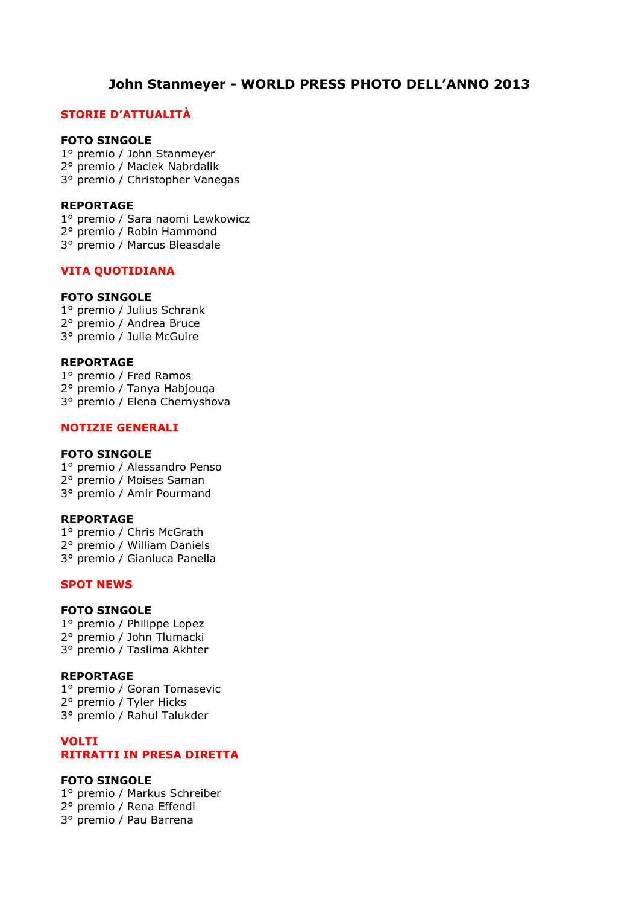# **John Stanmeyer - WORLD PRESS PHOTO DELL'ANNO 2013**

# **STORIE D'ATTUALITÀ**

### **FOTO SINGOLE**

1° premio / John Stanmeyer 2° premio / Maciek Nabrdalik

# 3° premio / Christopher Vanegas

# **REPORTAGE**

1° premio / Sara naomi Lewkowicz

2° premio / Robin Hammond

3° premio / Marcus Bleasdale

# **VITA QUOTIDIANA**

# **FOTO SINGOLE**

1° premio / Julius Schrank 2° premio / Andrea Bruce 3° premio / Julie McGuire

#### **REPORTAGE**

1° premio / Fred Ramos 2° premio / Tanya Habjouqa 3° premio / Elena Chernyshova

#### **NOTIZIE GENERALI**

#### **FOTO SINGOLE**

1° premio / Alessandro Penso 2° premio / Moises Saman 3° premio / Amir Pourmand

### **REPORTAGE**

1° premio / Chris McGrath 2° premio / William Daniels 3° premio / Gianluca Panella

# **SPOT NEWS**

# **FOTO SINGOLE**

1° premio / Philippe Lopez 2° premio / John Tlumacki 3° premio / Taslima Akhter

### **REPORTAGE**

1° premio / Goran Tomasevic 2° premio / Tyler Hicks 3° premio / Rahul Talukder

### **VOLTI RITRATTI IN PRESA DIRETTA**

# **FOTO SINGOLE**

1° premio / Markus Schreiber 2° premio / Rena Effendi 3° premio / Pau Barrena